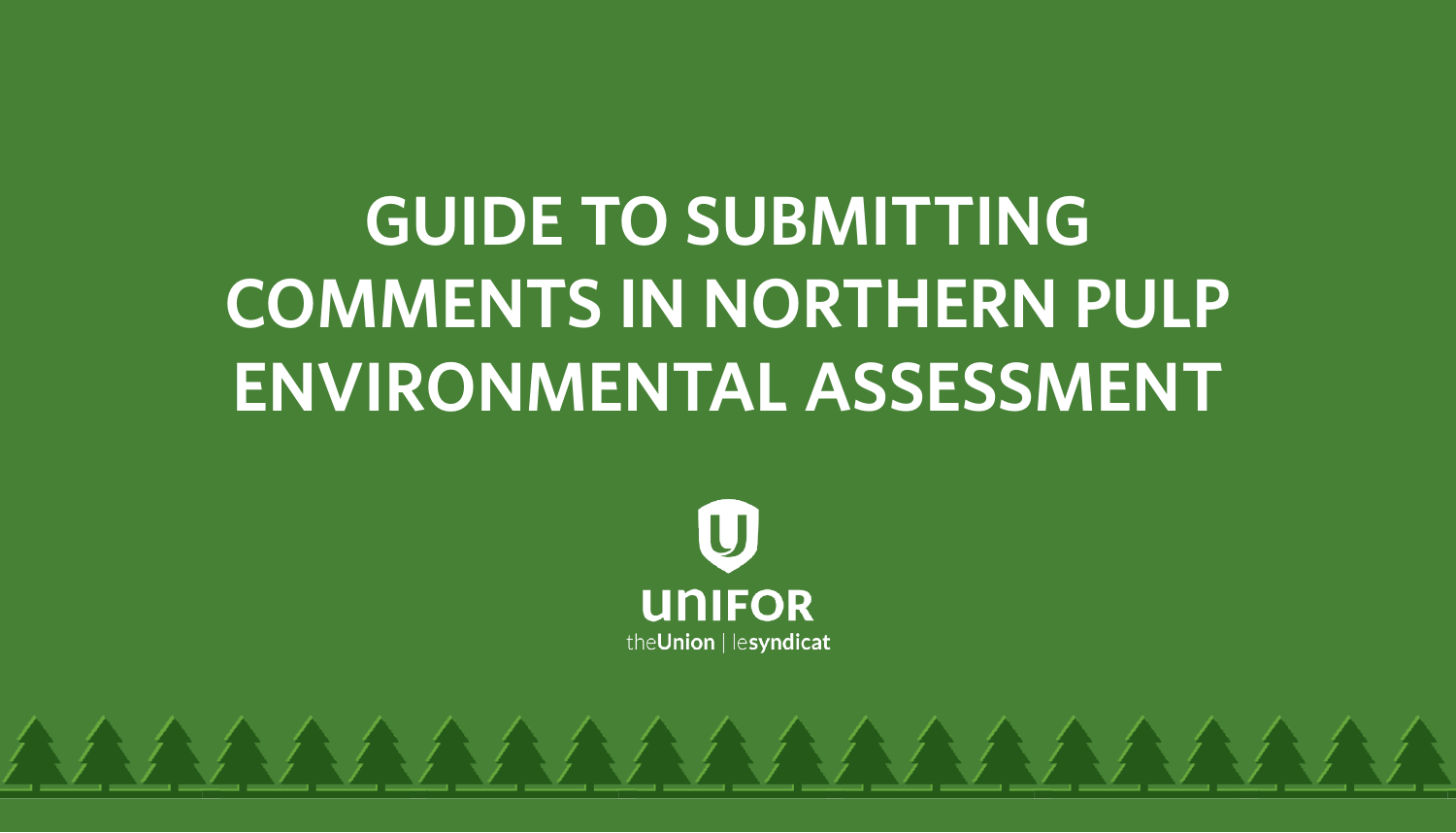# **GUIDE TO SUBMITTING COMMENTS IN NORTHERN PULP ENVIRONMENTAL ASSESSMENT**

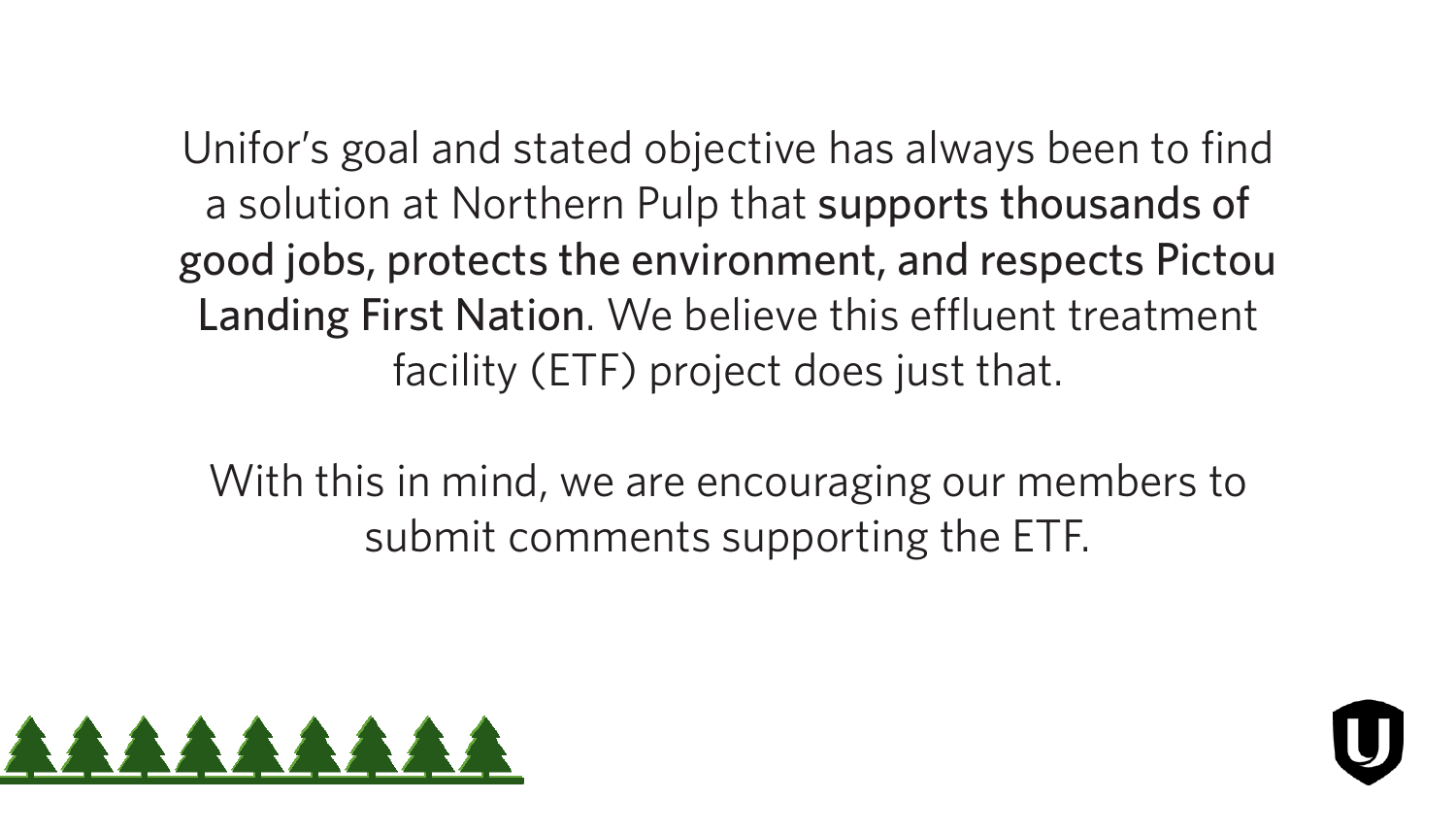Unifor's goal and stated objective has always been to find a solution at Northern Pulp that supports thousands of good jobs, protects the environment, and respects Pictou Landing First Nation. We believe this effluent treatment facility (ETF) project does just that.

With this in mind, we are encouraging our members to submit comments supporting the ETF.



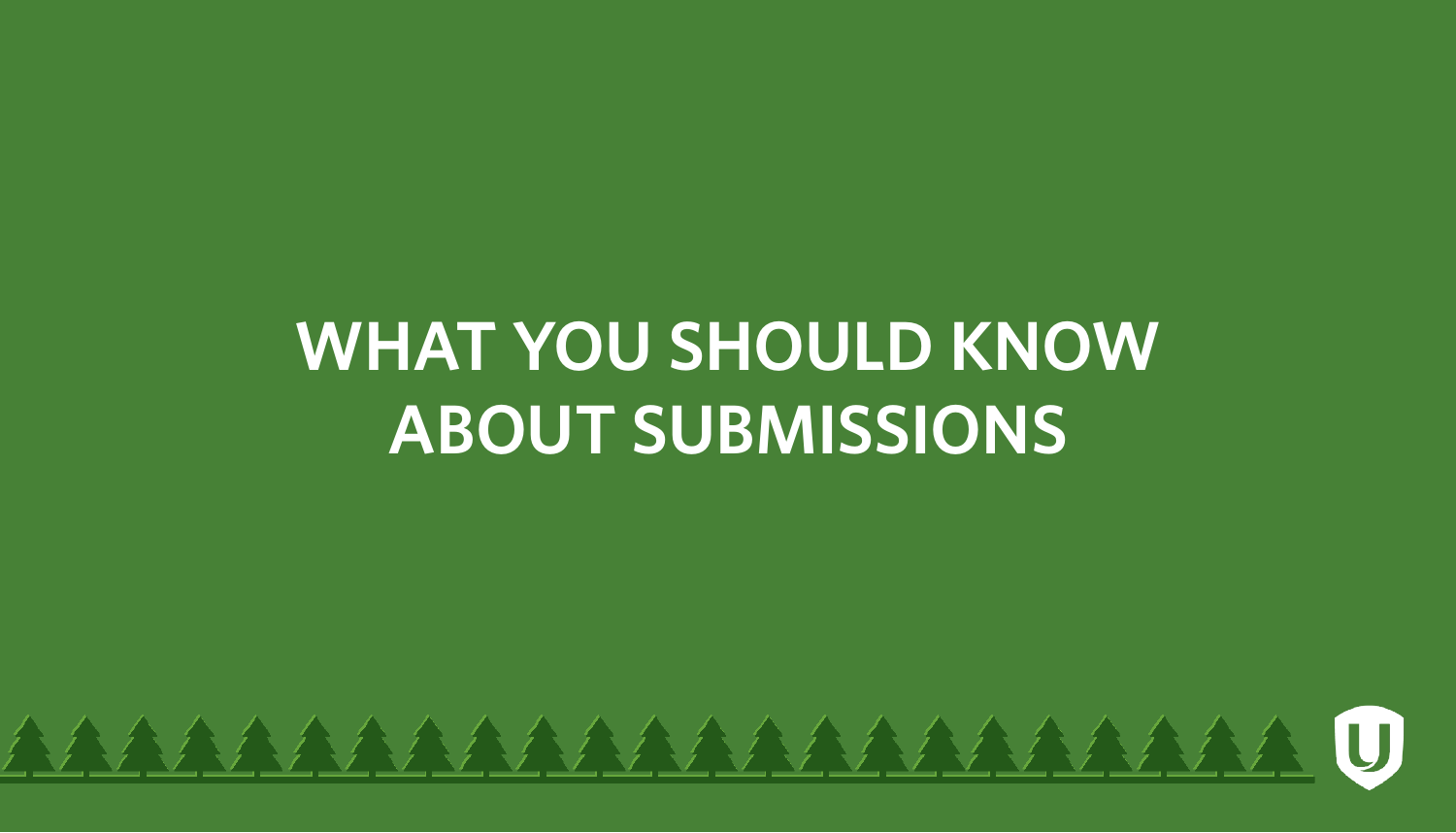## **WHAT YOU SHOULD KNOW ABOUT SUBMISSIONS**

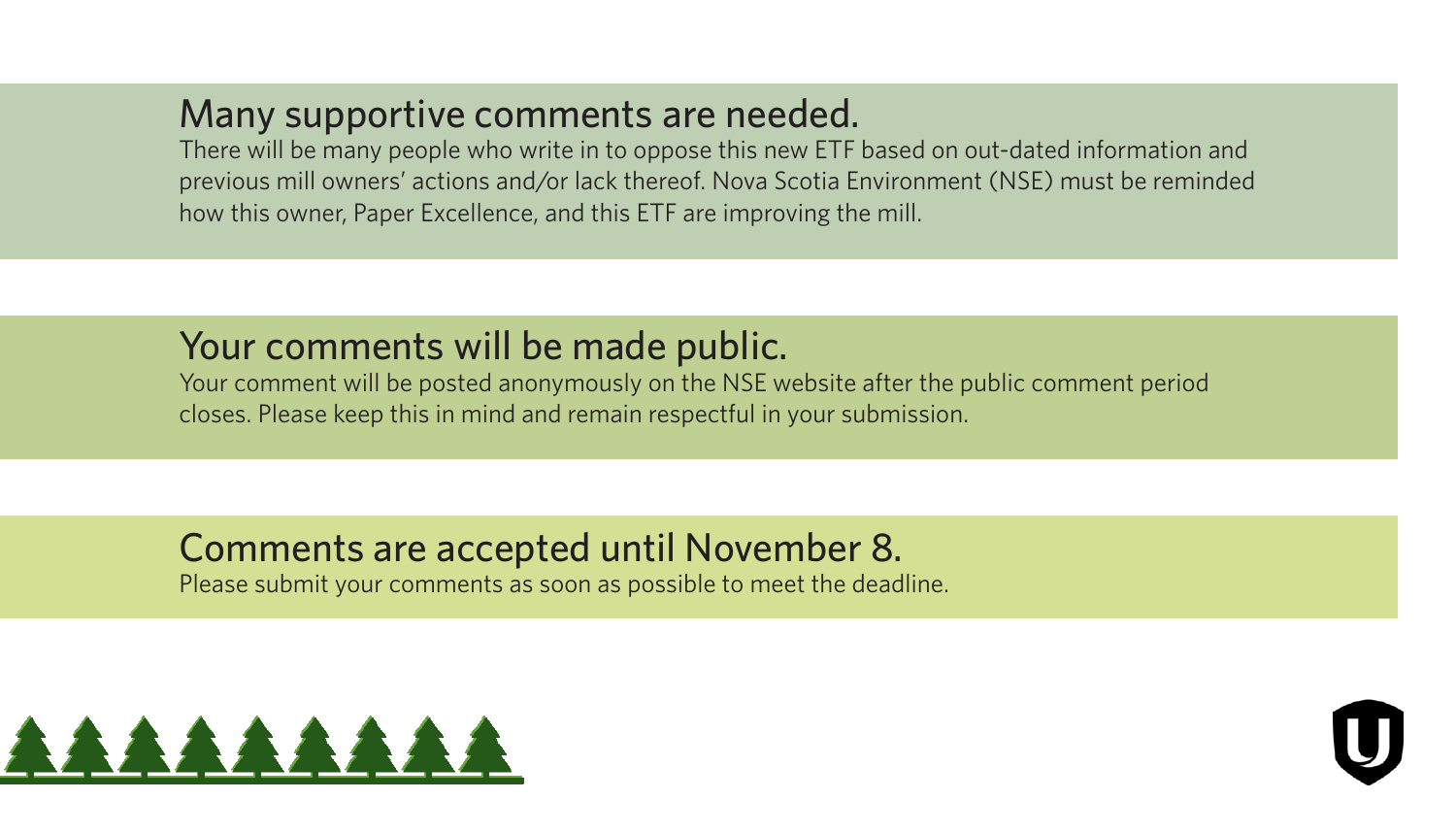#### Many supportive comments are needed.

There will be many people who write in to oppose this new ETF based on out-dated information and previous mill owners' actions and/or lack thereof. Nova Scotia Environment (NSE) must be reminded how this owner, Paper Excellence, and this ETF are improving the mill.

#### Your comments will be made public.

Your comment will be posted anonymously on the NSE website after the public comment period closes. Please keep this in mind and remain respectful in your submission.

#### Comments are accepted until November 8.

Please submit your comments as soon as possible to meet the deadline.

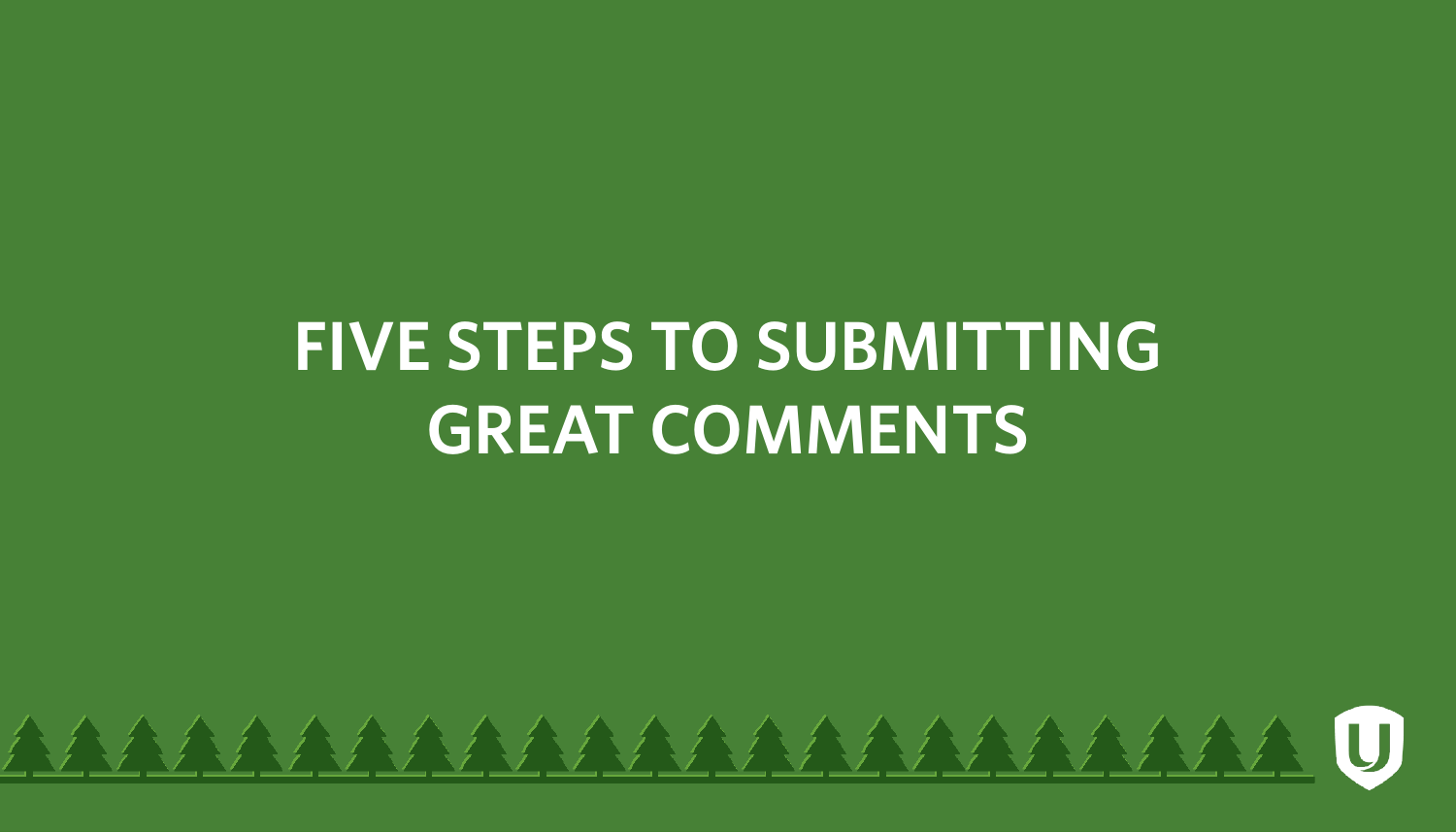## **FIVE STEPS TO SUBMITTING GREAT COMMENTS**

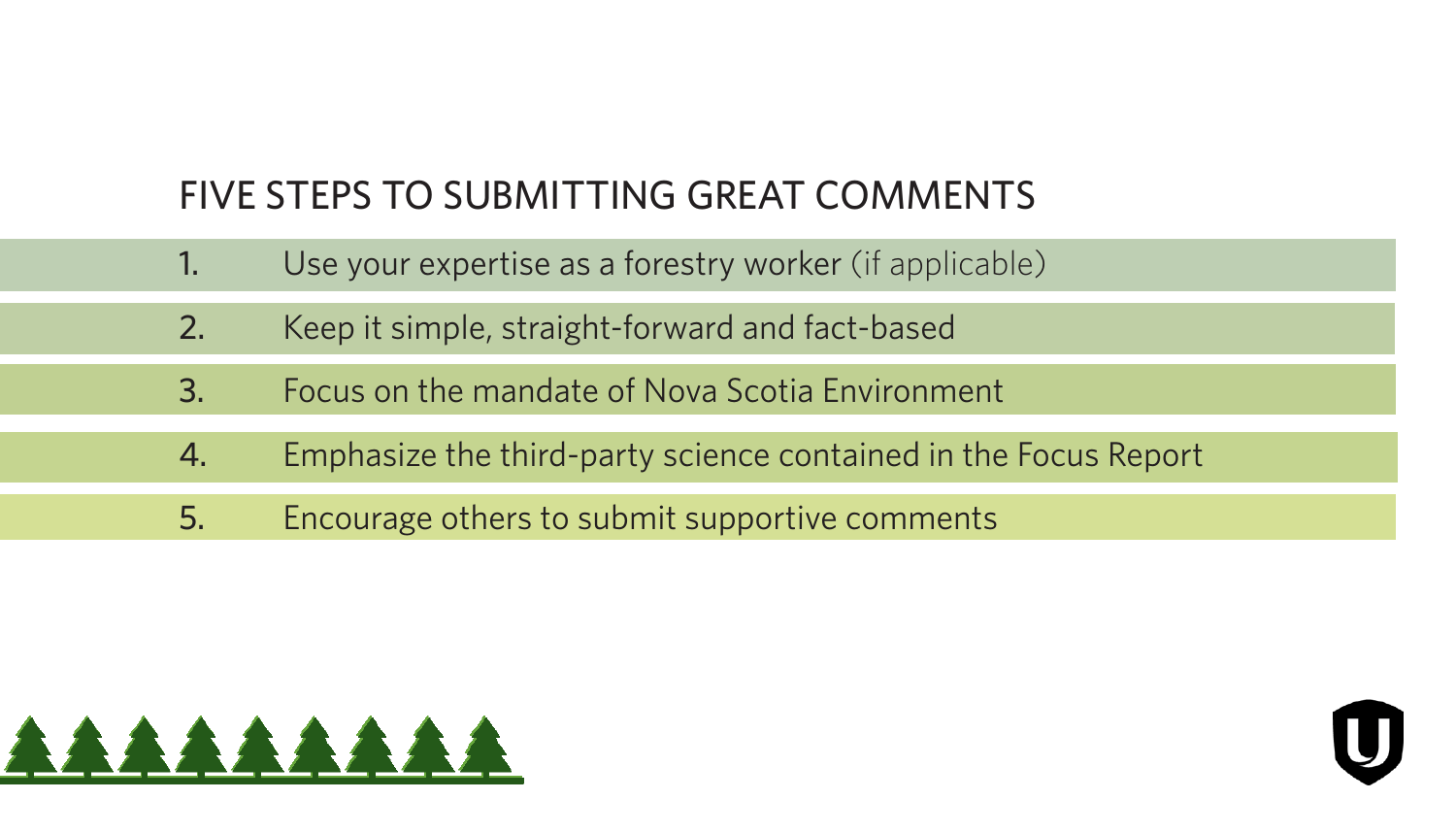### FIVE STEPS TO SUBMITTING GREAT COMMENTS

- 1. Use your expertise as a forestry worker (if applicable)
- 2. Keep it simple, straight-forward and fact-based
- 3. Focus on the mandate of Nova Scotia Environment
- 4. Emphasize the third-party science contained in the Focus Report
- 5. Encourage others to submit supportive comments



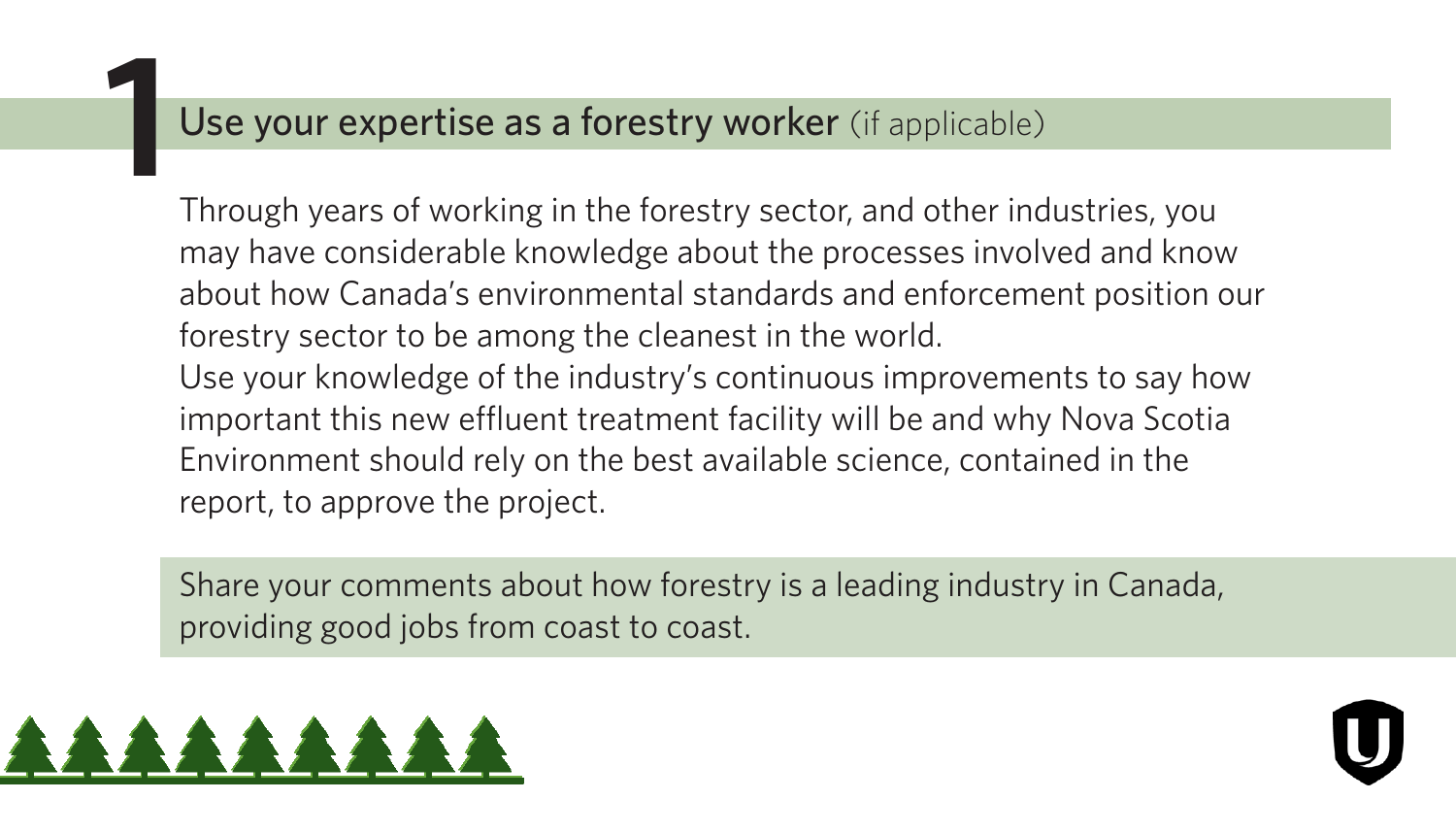#### Use your expertise as a forestry worker (if applicable)

Through years of working in the forestry sector, and other industries, you may have considerable knowledge about the processes involved and know about how Canada's environmental standards and enforcement position our forestry sector to be among the cleanest in the world. Use your knowledge of the industry's continuous improvements to say how important this new effluent treatment facility will be and why Nova Scotia Environment should rely on the best available science, contained in the report, to approve the project.

Share your comments about how forestry is a leading industry in Canada, providing good jobs from coast to coast.

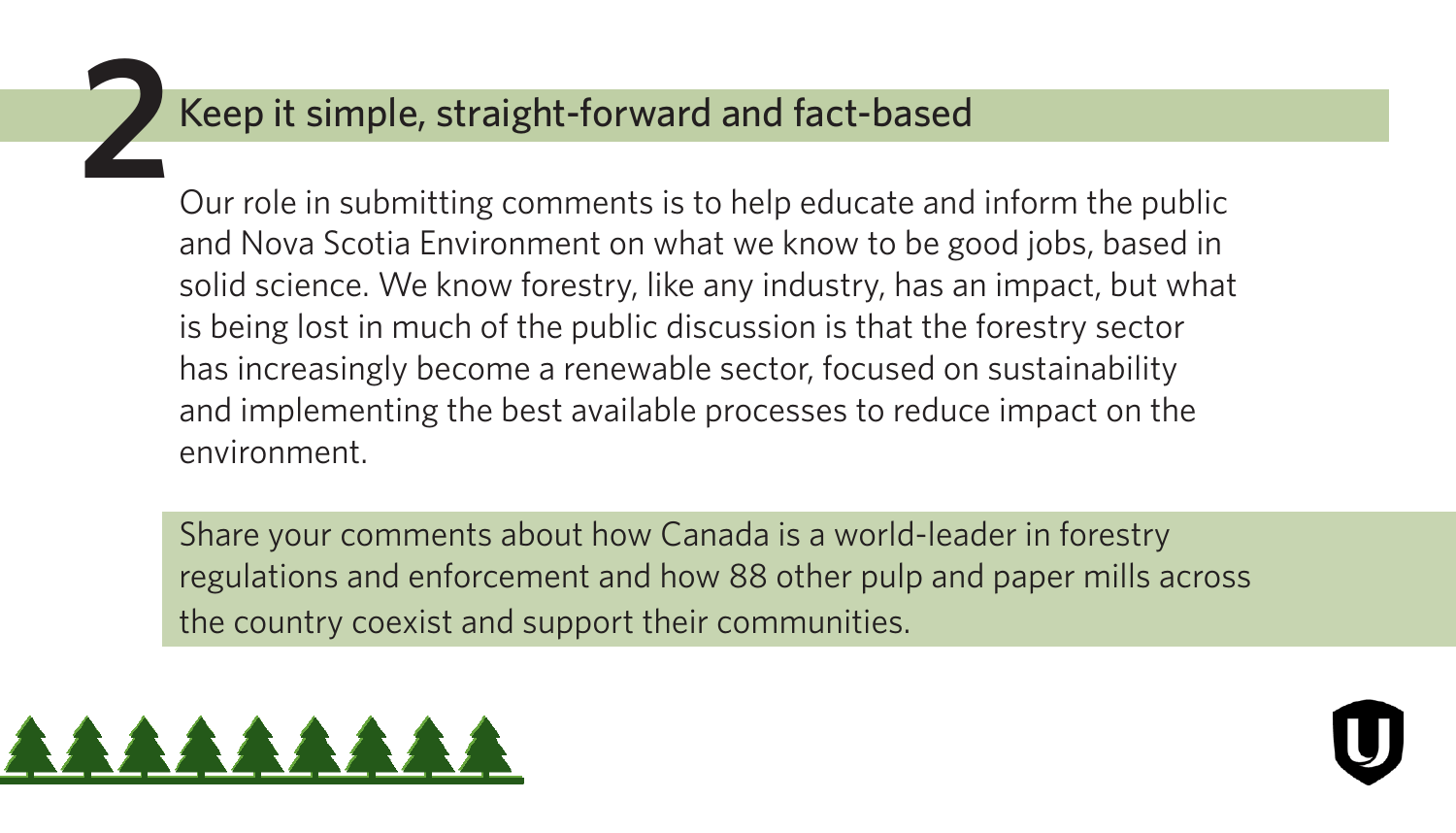#### Keep it simple, straight-forward and fact-based

Our role in submitting comments is to help educate and inform the public and Nova Scotia Environment on what we know to be good jobs, based in solid science. We know forestry, like any industry, has an impact, but what is being lost in much of the public discussion is that the forestry sector has increasingly become a renewable sector, focused on sustainability and implementing the best available processes to reduce impact on the environment.

Share your comments about how Canada is a world-leader in forestry regulations and enforcement and how 88 other pulp and paper mills across the country coexist and support their communities.

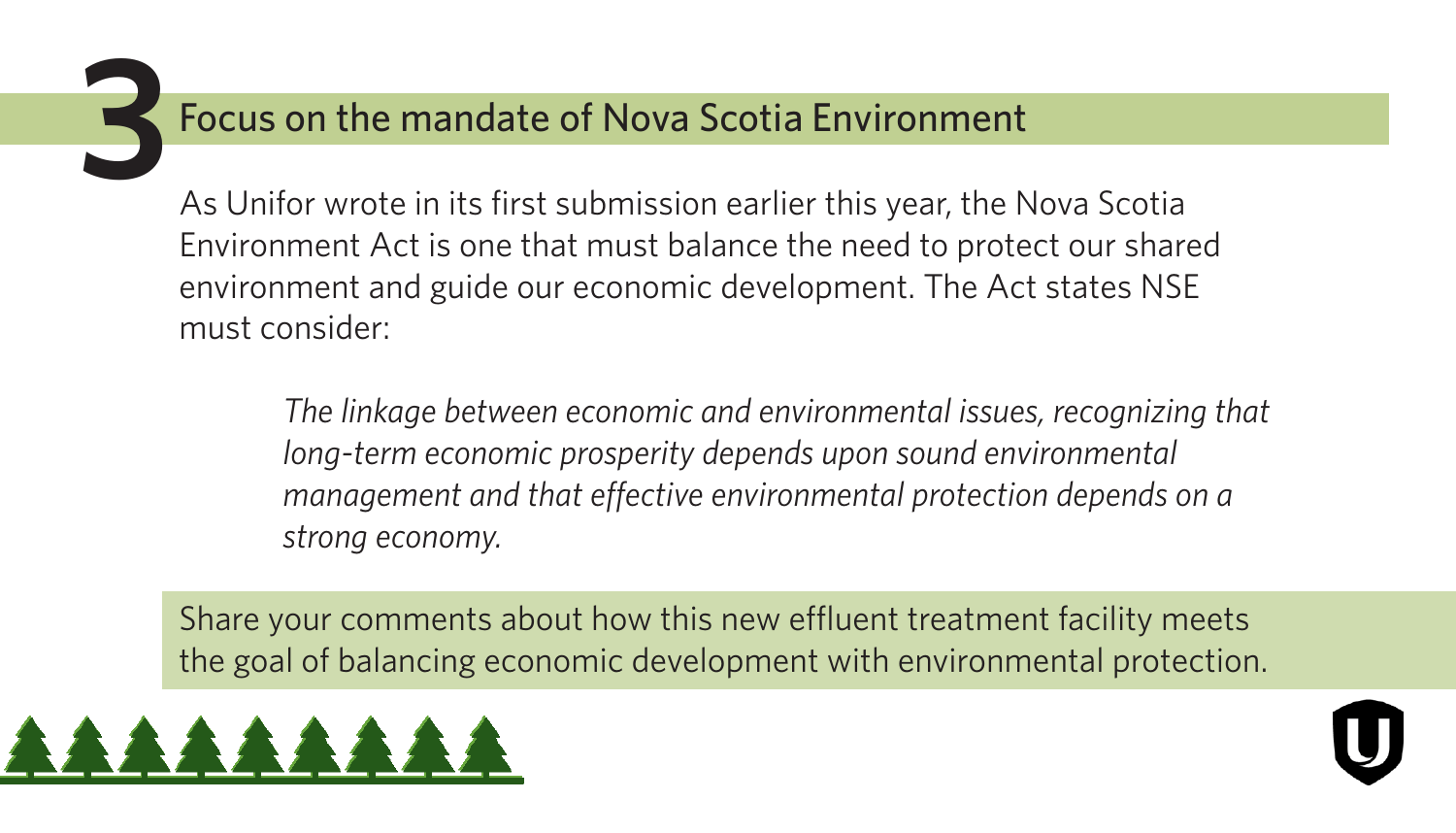#### Focus on the mandate of Nova Scotia Environment

As Unifor wrote in its first submission earlier this year, the Nova Scotia Environment Act is one that must balance the need to protect our shared environment and guide our economic development. The Act states NSE must consider:

*The linkage between economic and environmental issues, recognizing that long-term economic prosperity depends upon sound environmental management and that effective environmental protection depends on a strong economy.*

Share your comments about how this new effluent treatment facility meets the goal of balancing economic development with environmental protection.



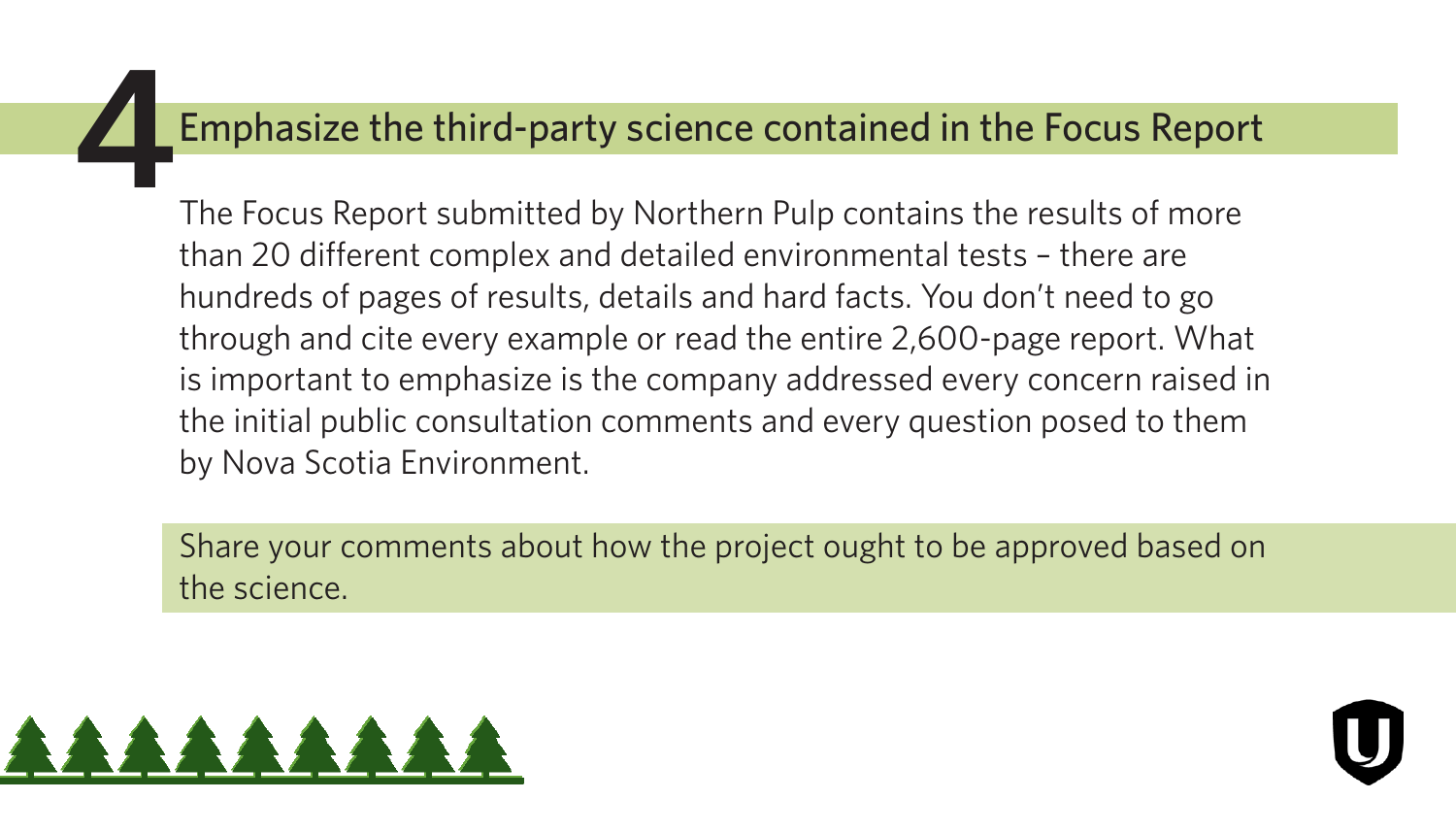### Emphasize the third-party science contained in the Focus Report

The Focus Report submitted by Northern Pulp contains the results of more than 20 different complex and detailed environmental tests – there are hundreds of pages of results, details and hard facts. You don't need to go through and cite every example or read the entire 2,600-page report. What is important to emphasize is the company addressed every concern raised in the initial public consultation comments and every question posed to them by Nova Scotia Environment.

Share your comments about how the project ought to be approved based on the science.



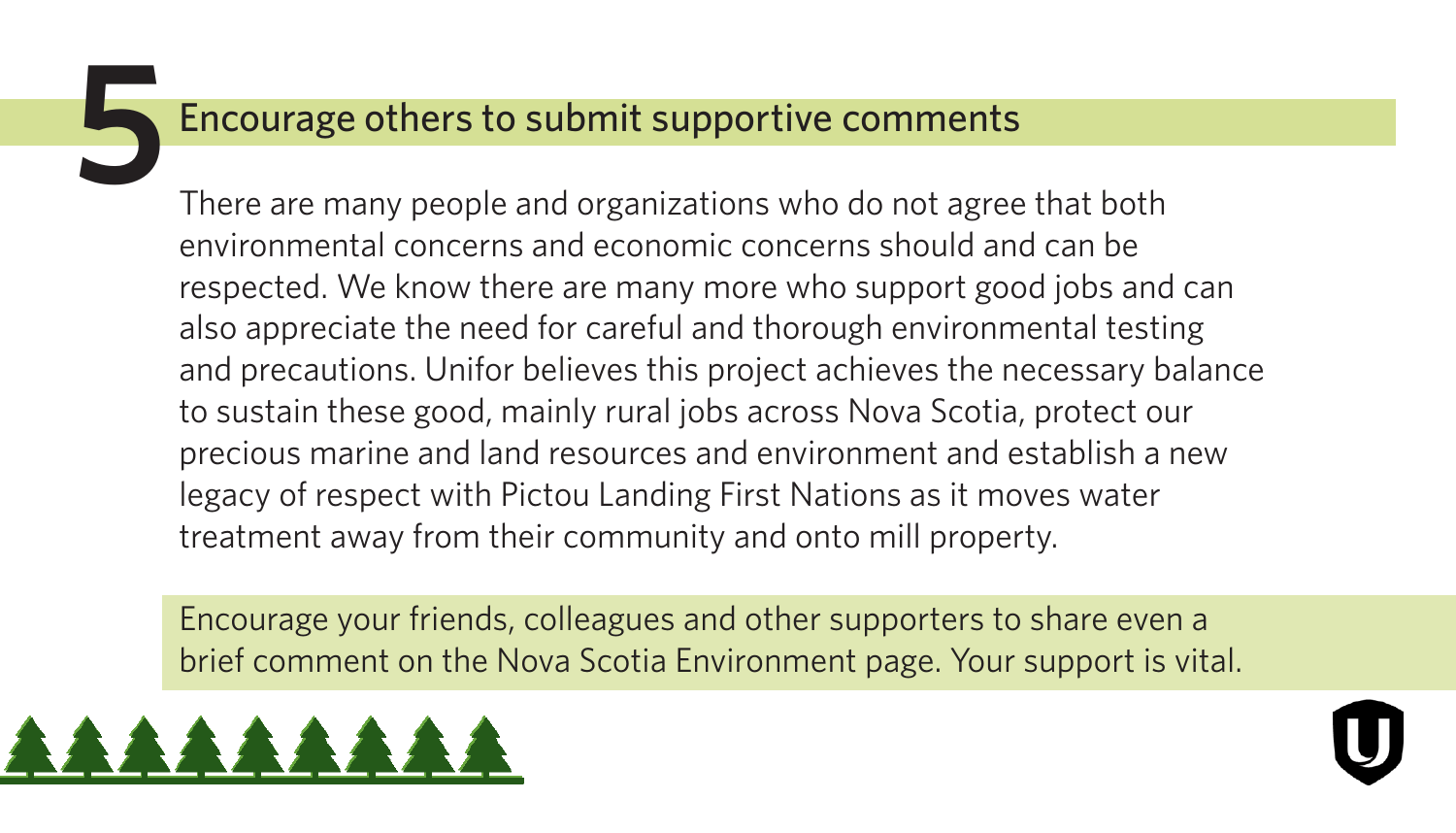### Encourage others to submit supportive comments

There are many people and organizations who do not agree that both environmental concerns and economic concerns should and can be respected. We know there are many more who support good jobs and can also appreciate the need for careful and thorough environmental testing and precautions. Unifor believes this project achieves the necessary balance to sustain these good, mainly rural jobs across Nova Scotia, protect our precious marine and land resources and environment and establish a new legacy of respect with Pictou Landing First Nations as it moves water treatment away from their community and onto mill property.

Encourage your friends, colleagues and other supporters to share even a brief comment on the Nova Scotia Environment page. Your support is vital.



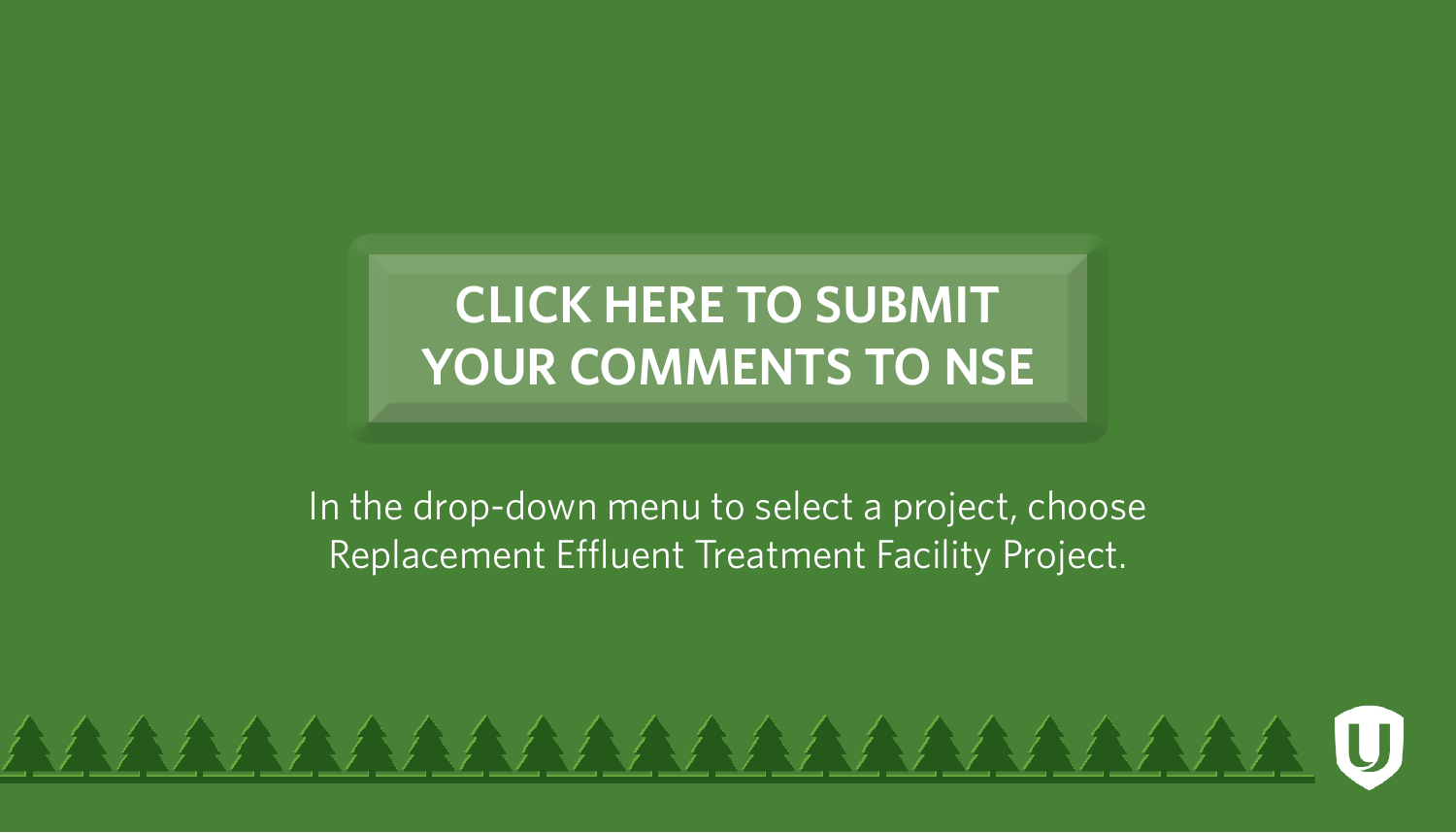## **CLICK HERE TO SUBMIT YOUR COMMENTS TO NSE**

#### In the drop-down menu to select a project, choose Replacement Effluent Treatment Facility Project.